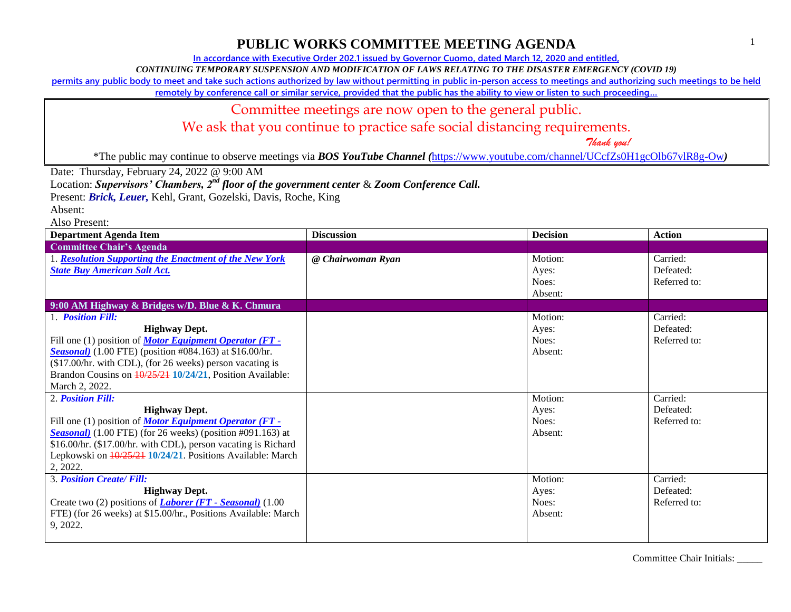**In accordance with Executive Order 202.1 issued by Governor Cuomo, dated March 12, 2020 and entitled,**

*CONTINUING TEMPORARY SUSPENSION AND MODIFICATION OF LAWS RELATING TO THE DISASTER EMERGENCY (COVID 19)*

**permits any public body to meet and take such actions authorized by law without permitting in public in-person access to meetings and authorizing such meetings to be held** 

**remotely by conference call or similar service, provided that the public has the ability to view or listen to such proceeding…**

### Committee meetings are now open to the general public.

We ask that you continue to practice safe social distancing requirements.

 *Thank you!*

\*The public may continue to observe meetings via *BOS YouTube Channel (*<https://www.youtube.com/channel/UCcfZs0H1gcOlb67vlR8g-Ow>*)*

Date: Thursday, February 24, 2022 @ 9:00 AM

Location: *Supervisors' Chambers, 2nd floor of the government center* & *Zoom Conference Call.*

Present: *Brick, Leuer,* Kehl, Grant, Gozelski, Davis, Roche, King

Absent:

Also Present:

| Department Agenda Item                                               | <b>Discussion</b> | <b>Decision</b> | <b>Action</b> |
|----------------------------------------------------------------------|-------------------|-----------------|---------------|
| <b>Committee Chair's Agenda</b>                                      |                   |                 |               |
| 1. Resolution Supporting the Enactment of the New York               | @ Chairwoman Ryan | Motion:         | Carried:      |
| <b>State Buy American Salt Act.</b>                                  |                   | Ayes:           | Defeated:     |
|                                                                      |                   | Noes:           | Referred to:  |
|                                                                      |                   | Absent:         |               |
| 9:00 AM Highway & Bridges w/D. Blue & K. Chmura                      |                   |                 |               |
| 1. Position Fill:                                                    |                   | Motion:         | Carried:      |
| <b>Highway Dept.</b>                                                 |                   | Ayes:           | Defeated:     |
| Fill one (1) position of <i>Motor Equipment Operator</i> (FT -       |                   | Noes:           | Referred to:  |
| <b>Seasonal</b> ) (1.00 FTE) (position #084.163) at \$16.00/hr.      |                   | Absent:         |               |
| (\$17.00/hr. with CDL), (for 26 weeks) person vacating is            |                   |                 |               |
| Brandon Cousins on $\frac{10}{25/21}$ 10/24/21, Position Available:  |                   |                 |               |
| March 2, 2022.                                                       |                   |                 |               |
| 2. Position Fill:                                                    |                   | Motion:         | Carried:      |
| <b>Highway Dept.</b>                                                 |                   | Ayes:           | Defeated:     |
| Fill one (1) position of <b>Motor Equipment Operator (FT</b> -       |                   | Noes:           | Referred to:  |
| <b>Seasonal</b> ) $(1.00$ FTE) (for 26 weeks) (position #091.163) at |                   | Absent:         |               |
| \$16.00/hr. (\$17.00/hr. with CDL), person vacating is Richard       |                   |                 |               |
| Lepkowski on $\frac{10}{25/21}$ 10/24/21. Positions Available: March |                   |                 |               |
| 2, 2022.                                                             |                   |                 |               |
| <b>3. Position Create/Fill:</b>                                      |                   | Motion:         | Carried:      |
| <b>Highway Dept.</b>                                                 |                   | Ayes:           | Defeated:     |
| Create two (2) positions of <b>Laborer</b> ( $FT$ - Seasonal) (1.00  |                   | Noes:           | Referred to:  |
| FTE) (for 26 weeks) at \$15.00/hr., Positions Available: March       |                   | Absent:         |               |
| 9, 2022.                                                             |                   |                 |               |
|                                                                      |                   |                 |               |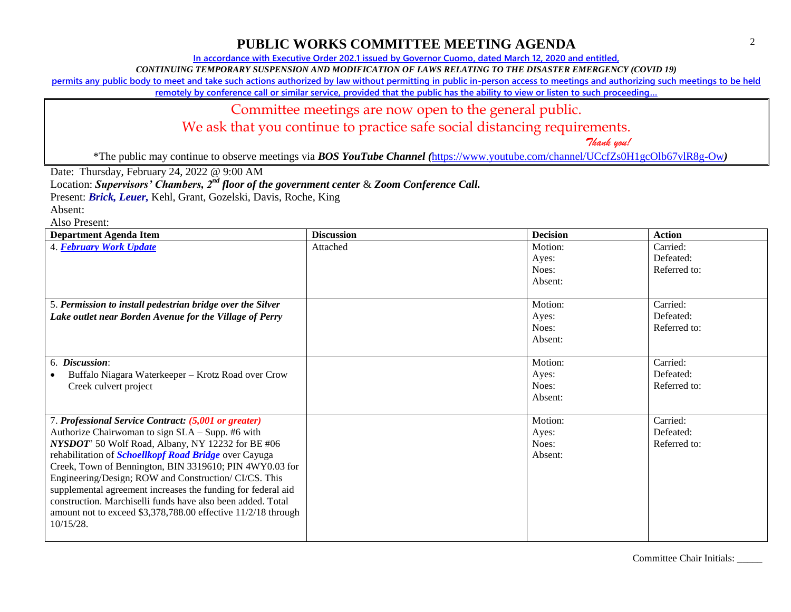**In accordance with Executive Order 202.1 issued by Governor Cuomo, dated March 12, 2020 and entitled,**

*CONTINUING TEMPORARY SUSPENSION AND MODIFICATION OF LAWS RELATING TO THE DISASTER EMERGENCY (COVID 19)*

**permits any public body to meet and take such actions authorized by law without permitting in public in-person access to meetings and authorizing such meetings to be held** 

**remotely by conference call or similar service, provided that the public has the ability to view or listen to such proceeding…**

#### Committee meetings are now open to the general public.

We ask that you continue to practice safe social distancing requirements.

 *Thank you!*

\*The public may continue to observe meetings via *BOS YouTube Channel (*<https://www.youtube.com/channel/UCcfZs0H1gcOlb67vlR8g-Ow>*)*

Date: Thursday, February 24, 2022 @ 9:00 AM

Location: *Supervisors' Chambers, 2nd floor of the government center* & *Zoom Conference Call.*

Present: *Brick, Leuer,* Kehl, Grant, Gozelski, Davis, Roche, King

Absent:

Also Present:

| <b>Department Agenda Item</b>                                 | <b>Discussion</b> | <b>Decision</b> | <b>Action</b> |
|---------------------------------------------------------------|-------------------|-----------------|---------------|
| 4. February Work Update                                       | Attached          | Motion:         | Carried:      |
|                                                               |                   | Ayes:           | Defeated:     |
|                                                               |                   | Noes:           | Referred to:  |
|                                                               |                   | Absent:         |               |
|                                                               |                   |                 |               |
| 5. Permission to install pedestrian bridge over the Silver    |                   | Motion:         | Carried:      |
| Lake outlet near Borden Avenue for the Village of Perry       |                   | Ayes:           | Defeated:     |
|                                                               |                   | Noes:           | Referred to:  |
|                                                               |                   | Absent:         |               |
|                                                               |                   |                 |               |
| 6. Discussion:                                                |                   | Motion:         | Carried:      |
| Buffalo Niagara Waterkeeper – Krotz Road over Crow            |                   | Ayes:           | Defeated:     |
| Creek culvert project                                         |                   | Noes:           | Referred to:  |
|                                                               |                   | Absent:         |               |
|                                                               |                   |                 |               |
| 7. Professional Service Contract: (5,001 or greater)          |                   | Motion:         | Carried:      |
| Authorize Chairwoman to sign SLA - Supp. #6 with              |                   | Ayes:           | Defeated:     |
| NYSDOT' 50 Wolf Road, Albany, NY 12232 for BE #06             |                   | Noes:           | Referred to:  |
| rehabilitation of <i>Schoellkopf Road Bridge</i> over Cayuga  |                   | Absent:         |               |
| Creek, Town of Bennington, BIN 3319610; PIN 4WY0.03 for       |                   |                 |               |
| Engineering/Design; ROW and Construction/ CI/CS. This         |                   |                 |               |
| supplemental agreement increases the funding for federal aid  |                   |                 |               |
| construction. Marchiselli funds have also been added. Total   |                   |                 |               |
| amount not to exceed \$3,378,788.00 effective 11/2/18 through |                   |                 |               |
| $10/15/28$ .                                                  |                   |                 |               |
|                                                               |                   |                 |               |

Committee Chair Initials: \_\_\_\_\_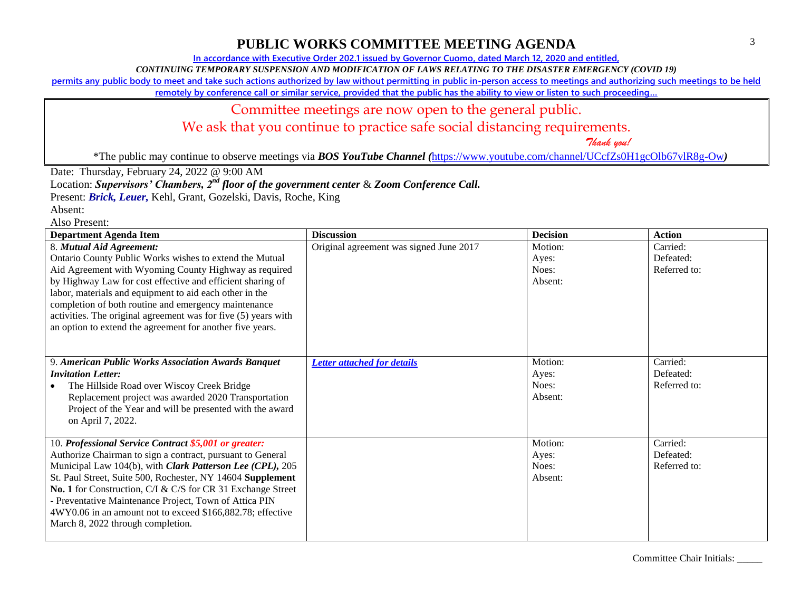**In accordance with Executive Order 202.1 issued by Governor Cuomo, dated March 12, 2020 and entitled,**

*CONTINUING TEMPORARY SUSPENSION AND MODIFICATION OF LAWS RELATING TO THE DISASTER EMERGENCY (COVID 19)*

**permits any public body to meet and take such actions authorized by law without permitting in public in-person access to meetings and authorizing such meetings to be held** 

**remotely by conference call or similar service, provided that the public has the ability to view or listen to such proceeding…**

### Committee meetings are now open to the general public.

We ask that you continue to practice safe social distancing requirements.

 *Thank you!*

\*The public may continue to observe meetings via *BOS YouTube Channel (*<https://www.youtube.com/channel/UCcfZs0H1gcOlb67vlR8g-Ow>*)*

Date: Thursday, February 24, 2022 @ 9:00 AM

Location: *Supervisors' Chambers, 2nd floor of the government center* & *Zoom Conference Call.*

Present: *Brick, Leuer,* Kehl, Grant, Gozelski, Davis, Roche, King

Absent: Also Present:

| <b>Department Agenda Item</b>                                                                                                                                                                                                                                                                                                                                                                                                                                              | <b>Discussion</b>                       | <b>Decision</b>                      | <b>Action</b>                         |
|----------------------------------------------------------------------------------------------------------------------------------------------------------------------------------------------------------------------------------------------------------------------------------------------------------------------------------------------------------------------------------------------------------------------------------------------------------------------------|-----------------------------------------|--------------------------------------|---------------------------------------|
| 8. Mutual Aid Agreement:<br>Ontario County Public Works wishes to extend the Mutual<br>Aid Agreement with Wyoming County Highway as required<br>by Highway Law for cost effective and efficient sharing of<br>labor, materials and equipment to aid each other in the<br>completion of both routine and emergency maintenance<br>activities. The original agreement was for five (5) years with<br>an option to extend the agreement for another five years.               | Original agreement was signed June 2017 | Motion:<br>Ayes:<br>Noes:<br>Absent: | Carried:<br>Defeated:<br>Referred to: |
| 9. American Public Works Association Awards Banquet<br><b>Invitation Letter:</b><br>The Hillside Road over Wiscoy Creek Bridge<br>Replacement project was awarded 2020 Transportation<br>Project of the Year and will be presented with the award<br>on April 7, 2022.                                                                                                                                                                                                     | <b>Letter attached for details</b>      | Motion:<br>Ayes:<br>Noes:<br>Absent: | Carried:<br>Defeated:<br>Referred to: |
| 10. Professional Service Contract \$5,001 or greater:<br>Authorize Chairman to sign a contract, pursuant to General<br>Municipal Law 104(b), with Clark Patterson Lee (CPL), 205<br>St. Paul Street, Suite 500, Rochester, NY 14604 Supplement<br>No. 1 for Construction, C/I & C/S for CR 31 Exchange Street<br>- Preventative Maintenance Project, Town of Attica PIN<br>4WY0.06 in an amount not to exceed \$166,882.78; effective<br>March 8, 2022 through completion. |                                         | Motion:<br>Ayes:<br>Noes:<br>Absent: | Carried:<br>Defeated:<br>Referred to: |

Committee Chair Initials: \_\_\_\_\_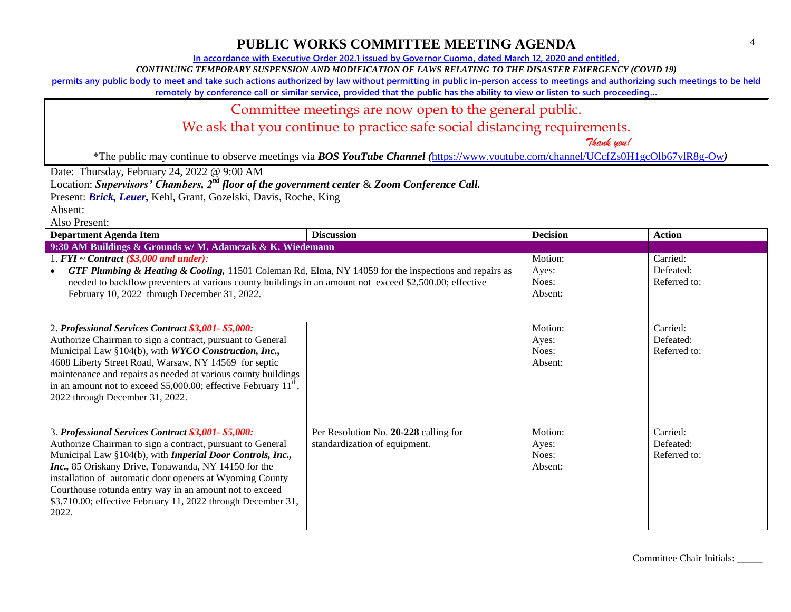**In accordance with Executive Order 202.1 issued by Governor Cuomo, dated March 12, 2020 and entitled,**

*CONTINUING TEMPORARY SUSPENSION AND MODIFICATION OF LAWS RELATING TO THE DISASTER EMERGENCY (COVID 19)*

**permits any public body to meet and take such actions authorized by law without permitting in public in-person access to meetings and authorizing such meetings to be held** 

**remotely by conference call or similar service, provided that the public has the ability to view or listen to such proceeding…**

### Committee meetings are now open to the general public.

# We ask that you continue to practice safe social distancing requirements.

 *Thank you!*

\*The public may continue to observe meetings via *BOS YouTube Channel (*<https://www.youtube.com/channel/UCcfZs0H1gcOlb67vlR8g-Ow>*)*

Date: Thursday, February 24, 2022 @ 9:00 AM

Location: *Supervisors' Chambers, 2nd floor of the government center* & *Zoom Conference Call.*

Present: *Brick, Leuer,* Kehl, Grant, Gozelski, Davis, Roche, King

Absent:

Also Present:

| <b>Department Agenda Item</b>                                                                                                                                                                                                                                                                                                                                                                                                                         | <b>Discussion</b>                                                      | <b>Decision</b>                      | <b>Action</b>                         |
|-------------------------------------------------------------------------------------------------------------------------------------------------------------------------------------------------------------------------------------------------------------------------------------------------------------------------------------------------------------------------------------------------------------------------------------------------------|------------------------------------------------------------------------|--------------------------------------|---------------------------------------|
| 9:30 AM Buildings & Grounds w/ M. Adamczak & K. Wiedemann                                                                                                                                                                                                                                                                                                                                                                                             |                                                                        |                                      |                                       |
| 1. $FYI \sim Contract$ (\$3,000 and under):<br><b>GTF Plumbing &amp; Heating &amp; Cooling, 11501 Coleman Rd, Elma, NY 14059 for the inspections and repairs as</b><br>needed to backflow preventers at various county buildings in an amount not exceed \$2,500.00; effective<br>February 10, 2022 through December 31, 2022.                                                                                                                        |                                                                        | Motion:<br>Ayes:<br>Noes:<br>Absent: | Carried:<br>Defeated:<br>Referred to: |
| 2. Professional Services Contract \$3,001-\$5,000:<br>Authorize Chairman to sign a contract, pursuant to General<br>Municipal Law §104(b), with WYCO Construction, Inc.,<br>4608 Liberty Street Road, Warsaw, NY 14569 for septic<br>maintenance and repairs as needed at various county buildings<br>in an amount not to exceed \$5,000.00; effective February $11th$ ,<br>2022 through December 31, 2022.                                           |                                                                        | Motion:<br>Ayes:<br>Noes:<br>Absent: | Carried:<br>Defeated:<br>Referred to: |
| 3. Professional Services Contract \$3,001-\$5,000:<br>Authorize Chairman to sign a contract, pursuant to General<br>Municipal Law §104(b), with <i>Imperial Door Controls</i> , <i>Inc.</i> ,<br>Inc., 85 Oriskany Drive, Tonawanda, NY 14150 for the<br>installation of automatic door openers at Wyoming County<br>Courthouse rotunda entry way in an amount not to exceed<br>\$3,710.00; effective February 11, 2022 through December 31,<br>2022. | Per Resolution No. 20-228 calling for<br>standardization of equipment. | Motion:<br>Ayes:<br>Noes:<br>Absent: | Carried:<br>Defeated:<br>Referred to: |